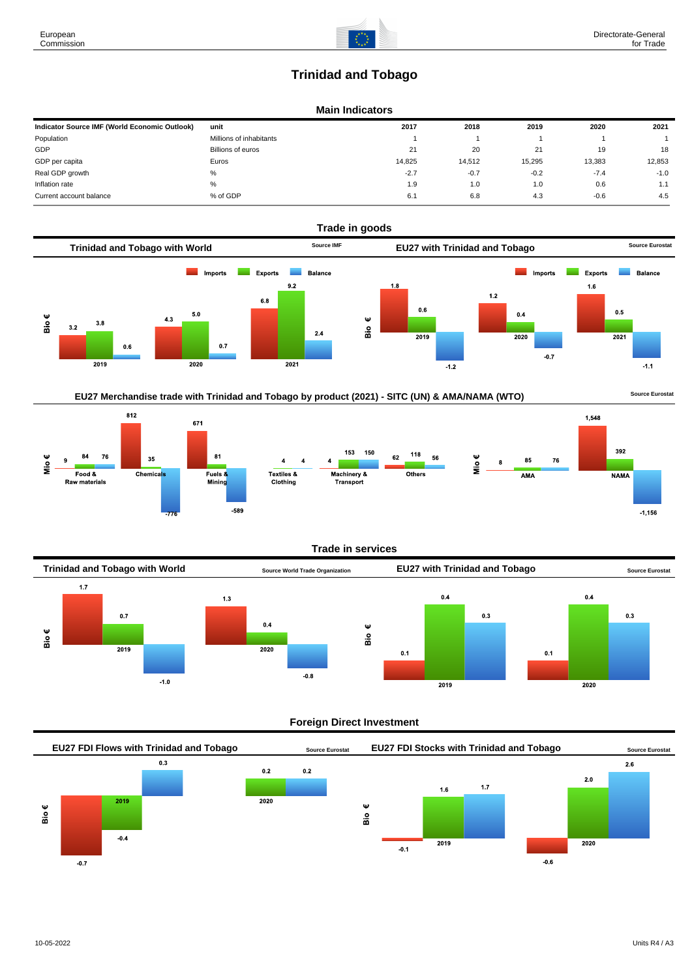# **Trinidad and Tobago**

# **Main Indicators**

| Indicator Source IMF (World Economic Outlook) | unit                    | 2017   | 2018   | 2019   | 2020   | 2021   |
|-----------------------------------------------|-------------------------|--------|--------|--------|--------|--------|
| Population                                    | Millions of inhabitants |        |        |        |        |        |
| GDP                                           | Billions of euros       | 21     | 20     | 21     | 19     | 18     |
| GDP per capita                                | Euros                   | 14.825 | 14.512 | 15,295 | 13.383 | 12,853 |
| Real GDP growth                               | %                       | $-2.7$ | $-0.7$ | $-0.2$ | $-7.4$ | $-1.0$ |
| Inflation rate                                | %                       | 1.9    | 1.0    | 1.0    | 0.6    | 1.1    |
| Current account balance                       | % of GDP                | 6.1    | 6.8    | 4.3    | $-0.6$ | 4.5    |



# **EU27 Merchandise trade with Trinidad and Tobago by product (2021) - SITC (UN) & AMA/NAMA (WTO) Source Eurostat**





#### **Trade in services**



# **Foreign Direct Investment**